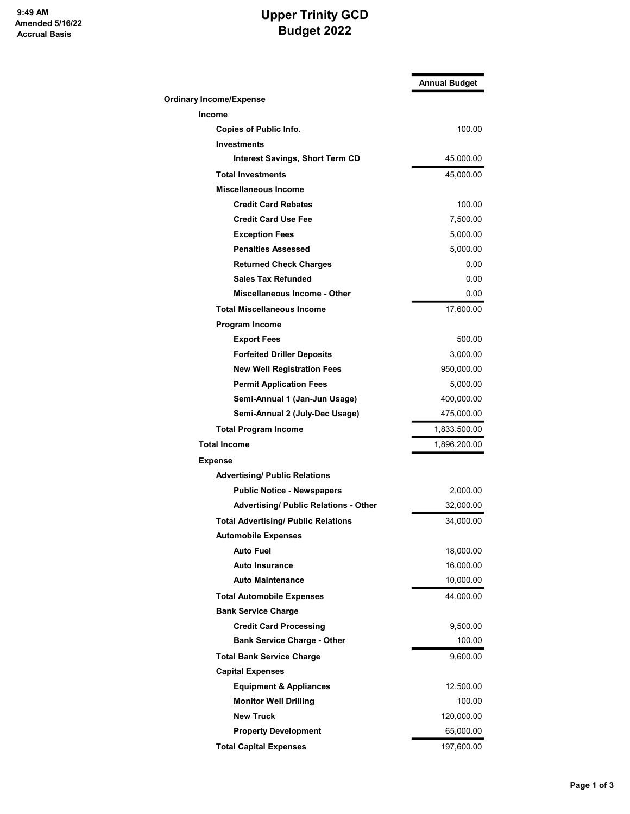## Upper Trinity GCD Budget 2022

|                                              | <b>Annual Budget</b> |
|----------------------------------------------|----------------------|
| <b>Ordinary Income/Expense</b>               |                      |
| <b>Income</b>                                |                      |
| <b>Copies of Public Info.</b>                | 100.00               |
| <b>Investments</b>                           |                      |
| <b>Interest Savings, Short Term CD</b>       | 45,000.00            |
| <b>Total Investments</b>                     | 45,000.00            |
| Miscellaneous Income                         |                      |
| <b>Credit Card Rebates</b>                   | 100.00               |
| <b>Credit Card Use Fee</b>                   | 7,500.00             |
| <b>Exception Fees</b>                        | 5,000.00             |
| <b>Penalties Assessed</b>                    | 5,000.00             |
| <b>Returned Check Charges</b>                | 0.00                 |
| <b>Sales Tax Refunded</b>                    | 0.00                 |
| Miscellaneous Income - Other                 | 0.00                 |
| <b>Total Miscellaneous Income</b>            | 17,600.00            |
| Program Income                               |                      |
| <b>Export Fees</b>                           | 500.00               |
| <b>Forfeited Driller Deposits</b>            | 3,000.00             |
| <b>New Well Registration Fees</b>            | 950,000.00           |
| <b>Permit Application Fees</b>               | 5,000.00             |
| Semi-Annual 1 (Jan-Jun Usage)                | 400,000.00           |
| Semi-Annual 2 (July-Dec Usage)               | 475,000.00           |
| <b>Total Program Income</b>                  | 1,833,500.00         |
| <b>Total Income</b>                          | 1,896,200.00         |
| <b>Expense</b>                               |                      |
| <b>Advertising/ Public Relations</b>         |                      |
| <b>Public Notice - Newspapers</b>            | 2,000.00             |
| <b>Advertising/ Public Relations - Other</b> | 32,000.00            |
| <b>Total Advertising/ Public Relations</b>   | 34,000.00            |
| <b>Automobile Expenses</b>                   |                      |
| Auto Fuel                                    | 18,000.00            |
| <b>Auto Insurance</b>                        | 16,000.00            |
| <b>Auto Maintenance</b>                      | 10,000.00            |
| <b>Total Automobile Expenses</b>             | 44,000.00            |
| <b>Bank Service Charge</b>                   |                      |
| <b>Credit Card Processing</b>                | 9,500.00             |
| <b>Bank Service Charge - Other</b>           | 100.00               |
| <b>Total Bank Service Charge</b>             | 9,600.00             |
| <b>Capital Expenses</b>                      |                      |
| <b>Equipment &amp; Appliances</b>            | 12,500.00            |
| <b>Monitor Well Drilling</b>                 | 100.00               |
| <b>New Truck</b>                             | 120,000.00           |
| <b>Property Development</b>                  | 65,000.00            |
| <b>Total Capital Expenses</b>                | 197,600.00           |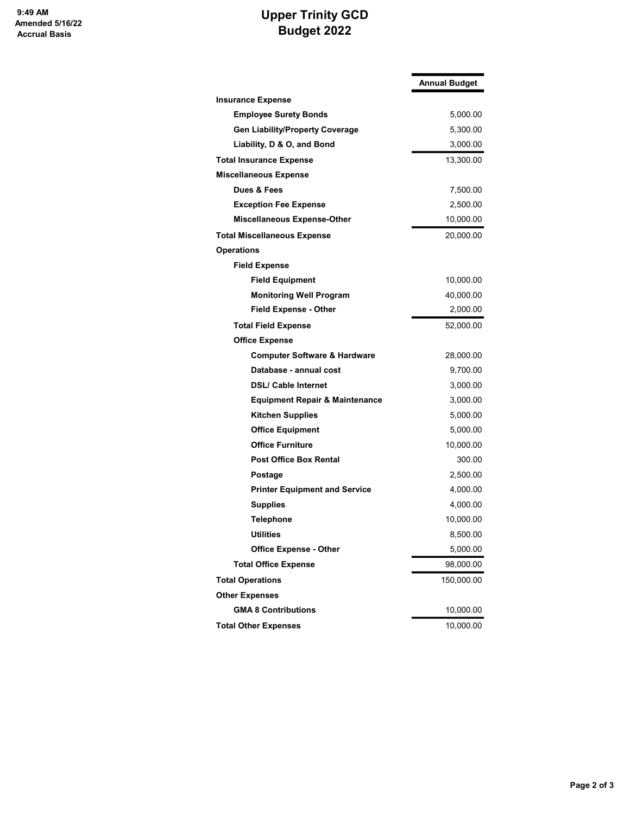## Upper Trinity GCD Budget 2022

|                                           | <b>Annual Budget</b> |
|-------------------------------------------|----------------------|
| <b>Insurance Expense</b>                  |                      |
| <b>Employee Surety Bonds</b>              | 5,000.00             |
| <b>Gen Liability/Property Coverage</b>    | 5,300.00             |
| Liability, D & O, and Bond                | 3,000.00             |
| <b>Total Insurance Expense</b>            | 13,300.00            |
| <b>Miscellaneous Expense</b>              |                      |
| Dues & Fees                               | 7,500.00             |
| <b>Exception Fee Expense</b>              | 2,500.00             |
| <b>Miscellaneous Expense-Other</b>        | 10,000.00            |
| <b>Total Miscellaneous Expense</b>        | 20,000.00            |
| <b>Operations</b>                         |                      |
| <b>Field Expense</b>                      |                      |
| <b>Field Equipment</b>                    | 10,000.00            |
| <b>Monitoring Well Program</b>            | 40,000.00            |
| <b>Field Expense - Other</b>              | 2,000.00             |
| <b>Total Field Expense</b>                | 52,000.00            |
| <b>Office Expense</b>                     |                      |
| <b>Computer Software &amp; Hardware</b>   | 28,000.00            |
| Database - annual cost                    | 9,700.00             |
| <b>DSL/ Cable Internet</b>                | 3,000.00             |
| <b>Equipment Repair &amp; Maintenance</b> | 3,000.00             |
| <b>Kitchen Supplies</b>                   | 5,000.00             |
| <b>Office Equipment</b>                   | 5,000.00             |
| <b>Office Furniture</b>                   | 10,000.00            |
| <b>Post Office Box Rental</b>             | 300.00               |
| Postage                                   | 2,500.00             |
| <b>Printer Equipment and Service</b>      | 4,000.00             |
| <b>Supplies</b>                           | 4,000.00             |
| Telephone                                 | 10,000.00            |
| <b>Utilities</b>                          | 8,500.00             |
| <b>Office Expense - Other</b>             | 5,000.00             |
| <b>Total Office Expense</b>               | 98,000.00            |
| <b>Total Operations</b>                   | 150,000.00           |
| <b>Other Expenses</b>                     |                      |
| <b>GMA 8 Contributions</b>                | 10,000.00            |
| <b>Total Other Expenses</b>               | 10,000.00            |